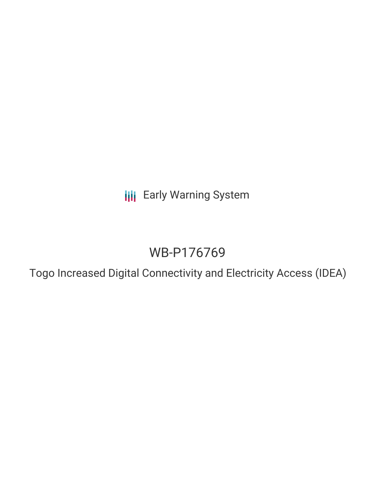**III** Early Warning System

# WB-P176769

Togo Increased Digital Connectivity and Electricity Access (IDEA)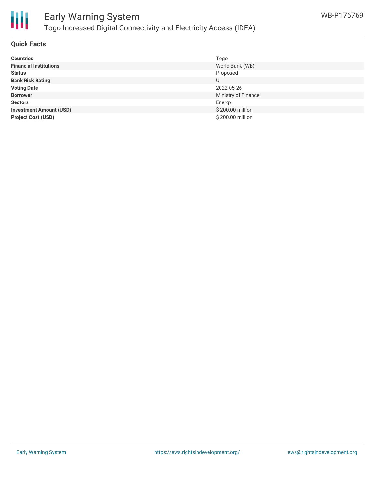

### **Quick Facts**

| <b>Countries</b>               | Togo                |
|--------------------------------|---------------------|
| <b>Financial Institutions</b>  | World Bank (WB)     |
| <b>Status</b>                  | Proposed            |
| <b>Bank Risk Rating</b>        | U                   |
| <b>Voting Date</b>             | 2022-05-26          |
| <b>Borrower</b>                | Ministry of Finance |
| <b>Sectors</b>                 | Energy              |
| <b>Investment Amount (USD)</b> | \$200.00 million    |
| <b>Project Cost (USD)</b>      | \$200.00 million    |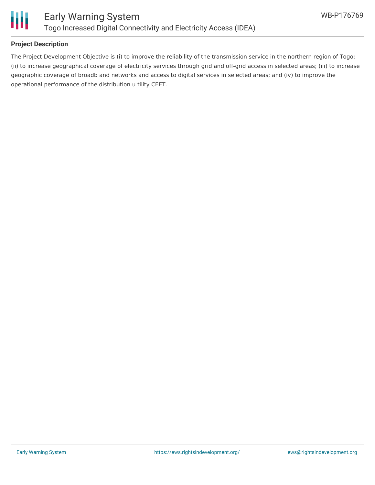

# **Project Description**

The Project Development Objective is (i) to improve the reliability of the transmission service in the northern region of Togo; (ii) to increase geographical coverage of electricity services through grid and off-grid access in selected areas; (iii) to increase geographic coverage of broadb and networks and access to digital services in selected areas; and (iv) to improve the operational performance of the distribution u tility CEET.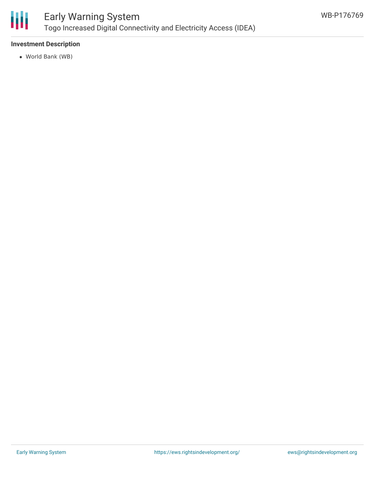

# Early Warning System Togo Increased Digital Connectivity and Electricity Access (IDEA)

# **Investment Description**

World Bank (WB)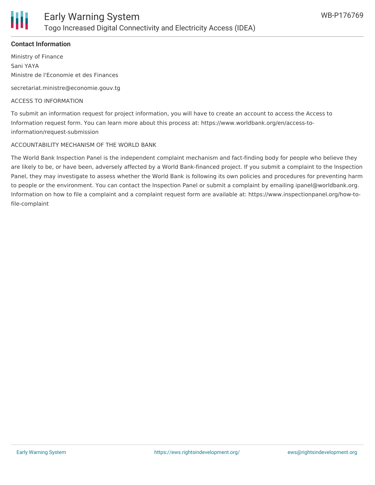

## **Contact Information**

Ministry of Finance Sani YAYA Ministre de l'Economie et des Finances

secretariat.ministre@economie.gouv.tg

#### ACCESS TO INFORMATION

To submit an information request for project information, you will have to create an account to access the Access to Information request form. You can learn more about this process at: https://www.worldbank.org/en/access-toinformation/request-submission

#### ACCOUNTABILITY MECHANISM OF THE WORLD BANK

The World Bank Inspection Panel is the independent complaint mechanism and fact-finding body for people who believe they are likely to be, or have been, adversely affected by a World Bank-financed project. If you submit a complaint to the Inspection Panel, they may investigate to assess whether the World Bank is following its own policies and procedures for preventing harm to people or the environment. You can contact the Inspection Panel or submit a complaint by emailing ipanel@worldbank.org. Information on how to file a complaint and a complaint request form are available at: https://www.inspectionpanel.org/how-tofile-complaint